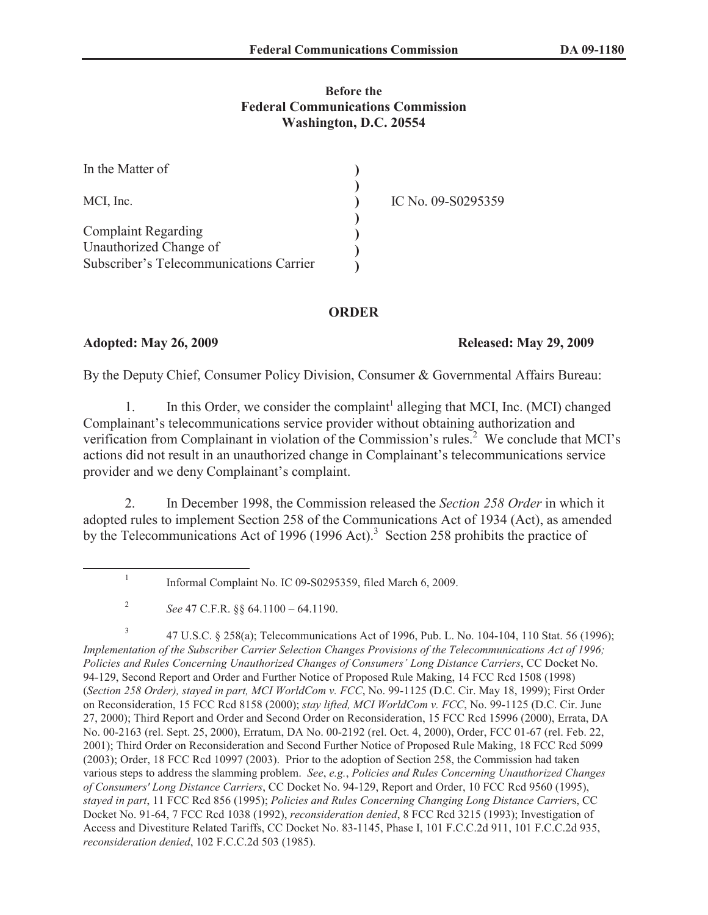## **Before the Federal Communications Commission Washington, D.C. 20554**

| In the Matter of                        |                    |
|-----------------------------------------|--------------------|
| MCI, Inc.                               | IC No. 09-S0295359 |
| <b>Complaint Regarding</b>              |                    |
| Unauthorized Change of                  |                    |
| Subscriber's Telecommunications Carrier |                    |

## **ORDER**

## **Adopted: May 26, 2009 Released: May 29, 2009**

By the Deputy Chief, Consumer Policy Division, Consumer & Governmental Affairs Bureau:

1. In this Order, we consider the complaint<sup>1</sup> alleging that MCI, Inc. (MCI) changed Complainant's telecommunications service provider without obtaining authorization and verification from Complainant in violation of the Commission's rules.<sup>2</sup> We conclude that MCI's actions did not result in an unauthorized change in Complainant's telecommunications service provider and we deny Complainant's complaint.

2. In December 1998, the Commission released the *Section 258 Order* in which it adopted rules to implement Section 258 of the Communications Act of 1934 (Act), as amended by the Telecommunications Act of 1996 (1996 Act).<sup>3</sup> Section 258 prohibits the practice of

3 47 U.S.C. § 258(a); Telecommunications Act of 1996, Pub. L. No. 104-104, 110 Stat. 56 (1996); *Implementation of the Subscriber Carrier Selection Changes Provisions of the Telecommunications Act of 1996; Policies and Rules Concerning Unauthorized Changes of Consumers' Long Distance Carriers*, CC Docket No. 94-129, Second Report and Order and Further Notice of Proposed Rule Making, 14 FCC Rcd 1508 (1998) (*Section 258 Order), stayed in part, MCI WorldCom v. FCC*, No. 99-1125 (D.C. Cir. May 18, 1999); First Order on Reconsideration, 15 FCC Rcd 8158 (2000); *stay lifted, MCI WorldCom v. FCC*, No. 99-1125 (D.C. Cir. June 27, 2000); Third Report and Order and Second Order on Reconsideration, 15 FCC Rcd 15996 (2000), Errata, DA No. 00-2163 (rel. Sept. 25, 2000), Erratum, DA No. 00-2192 (rel. Oct. 4, 2000), Order, FCC 01-67 (rel. Feb. 22, 2001); Third Order on Reconsideration and Second Further Notice of Proposed Rule Making, 18 FCC Rcd 5099 (2003); Order, 18 FCC Rcd 10997 (2003). Prior to the adoption of Section 258, the Commission had taken various steps to address the slamming problem. *See*, *e.g.*, *Policies and Rules Concerning Unauthorized Changes of Consumers' Long Distance Carriers*, CC Docket No. 94-129, Report and Order, 10 FCC Rcd 9560 (1995), *stayed in part*, 11 FCC Rcd 856 (1995); *Policies and Rules Concerning Changing Long Distance Carrier*s, CC Docket No. 91-64, 7 FCC Rcd 1038 (1992), *reconsideration denied*, 8 FCC Rcd 3215 (1993); Investigation of Access and Divestiture Related Tariffs, CC Docket No. 83-1145, Phase I, 101 F.C.C.2d 911, 101 F.C.C.2d 935, *reconsideration denied*, 102 F.C.C.2d 503 (1985).

<sup>1</sup> Informal Complaint No. IC 09-S0295359, filed March 6, 2009.

<sup>2</sup> *See* 47 C.F.R. §§ 64.1100 – 64.1190.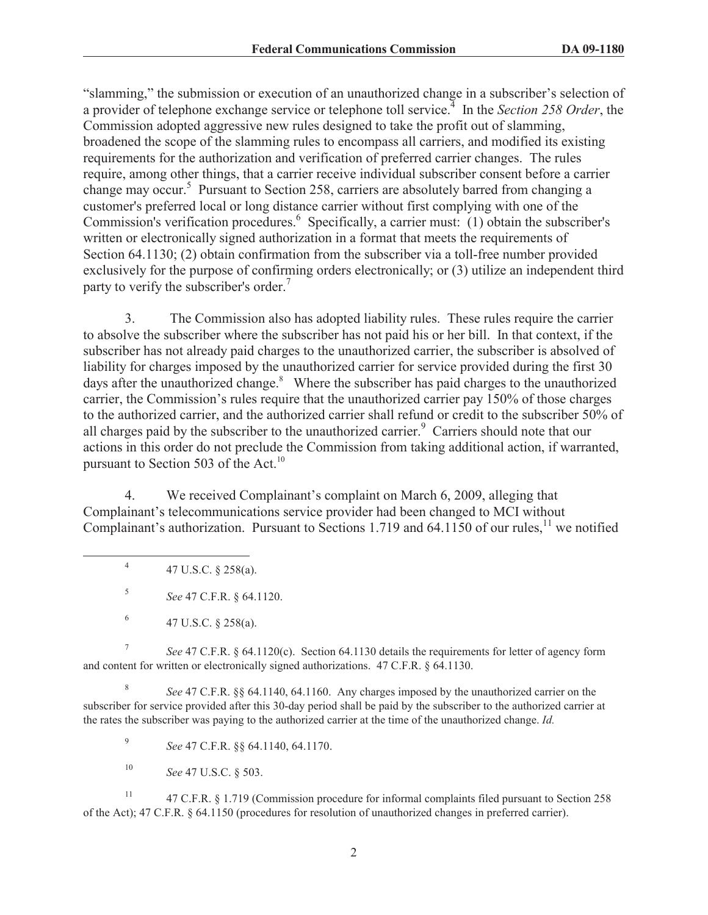"slamming," the submission or execution of an unauthorized change in a subscriber's selection of a provider of telephone exchange service or telephone toll service.<sup>4</sup> In the *Section 258 Order*, the Commission adopted aggressive new rules designed to take the profit out of slamming, broadened the scope of the slamming rules to encompass all carriers, and modified its existing requirements for the authorization and verification of preferred carrier changes. The rules require, among other things, that a carrier receive individual subscriber consent before a carrier change may occur.<sup>5</sup> Pursuant to Section 258, carriers are absolutely barred from changing a customer's preferred local or long distance carrier without first complying with one of the Commission's verification procedures.<sup>6</sup> Specifically, a carrier must: (1) obtain the subscriber's written or electronically signed authorization in a format that meets the requirements of Section 64.1130; (2) obtain confirmation from the subscriber via a toll-free number provided exclusively for the purpose of confirming orders electronically; or (3) utilize an independent third party to verify the subscriber's order.<sup>7</sup>

3. The Commission also has adopted liability rules. These rules require the carrier to absolve the subscriber where the subscriber has not paid his or her bill. In that context, if the subscriber has not already paid charges to the unauthorized carrier, the subscriber is absolved of liability for charges imposed by the unauthorized carrier for service provided during the first 30 days after the unauthorized change. $8$  Where the subscriber has paid charges to the unauthorized carrier, the Commission's rules require that the unauthorized carrier pay 150% of those charges to the authorized carrier, and the authorized carrier shall refund or credit to the subscriber 50% of all charges paid by the subscriber to the unauthorized carrier.<sup>9</sup> Carriers should note that our actions in this order do not preclude the Commission from taking additional action, if warranted, pursuant to Section 503 of the Act.<sup>10</sup>

4. We received Complainant's complaint on March 6, 2009, alleging that Complainant's telecommunications service provider had been changed to MCI without Complainant's authorization. Pursuant to Sections 1.719 and 64.1150 of our rules,<sup>11</sup> we notified

4 47 U.S.C. § 258(a).

5 *See* 47 C.F.R. § 64.1120.

7 *See* 47 C.F.R. § 64.1120(c). Section 64.1130 details the requirements for letter of agency form and content for written or electronically signed authorizations. 47 C.F.R. § 64.1130.

8 *See* 47 C.F.R. §§ 64.1140, 64.1160. Any charges imposed by the unauthorized carrier on the subscriber for service provided after this 30-day period shall be paid by the subscriber to the authorized carrier at the rates the subscriber was paying to the authorized carrier at the time of the unauthorized change. *Id.*

9 *See* 47 C.F.R. §§ 64.1140, 64.1170.

<sup>10</sup> *See* 47 U.S.C. § 503.

<sup>11</sup> 47 C.F.R. § 1.719 (Commission procedure for informal complaints filed pursuant to Section 258 of the Act); 47 C.F.R. § 64.1150 (procedures for resolution of unauthorized changes in preferred carrier).

<sup>6</sup> 47 U.S.C. § 258(a).